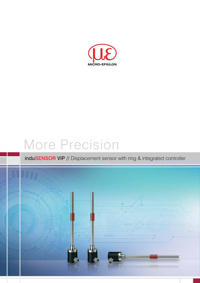

# More Precision

## induSENSOR VIP // Displacement sensor with ring & integrated controller

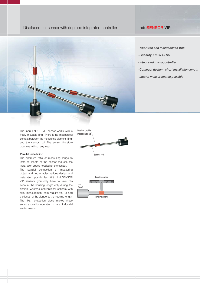#### Displacement sensor with ring and integrated controller **induSENSOR VIP**



- *Linearity ±0.25% FSO*
- *Integrated microcontroller*
- *Compact design short installation length*
- *Lateral measurements possible*

The induSENSOR VIP sensor works with a freely movable ring. There is no mechanical contact between the measuring element (ring) and the sensor rod. The sensor therefore operates without any wear.

#### Parallel installation

The optimum ratio of measuring range to installed length of the sensor reduces the installation space needed for the sensor.

The parallel connection of measuring object and ring enables various design and installation possibilities. With induSENSOR VIP sensors, you only have to take into account the housing length only during the design, whereas conventional sensors with axial measurement path require you to add the length of the plunger to the housing length. The IP67 protection class makes these sensors ideal for operation in harsh industrial environments.



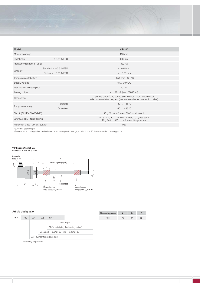

| Model                               |                               | <b>VIP-100</b>                                                                                                                        |  |  |  |
|-------------------------------------|-------------------------------|---------------------------------------------------------------------------------------------------------------------------------------|--|--|--|
| Measuring range                     |                               | 100 mm                                                                                                                                |  |  |  |
| Resolution                          | $\leq$ 0.05 % FSO             | $0.05$ mm                                                                                                                             |  |  |  |
| Frequency response (-3dB)           |                               | 300 Hz                                                                                                                                |  |  |  |
| Linearity                           | Standard $\leq \pm 0.5$ % FSO | $\leq \pm 0.5$ mm                                                                                                                     |  |  |  |
|                                     | Option $\leq \pm 0.25$ % FSO  | $\leq \pm 0.25$ mm                                                                                                                    |  |  |  |
| Temperature stability <sup>1)</sup> |                               | $\pm 250$ ppm FSO / K                                                                                                                 |  |  |  |
| Supply voltage                      |                               | 18  30 VDC                                                                                                                            |  |  |  |
| Max. current consumption            |                               | 40 mA                                                                                                                                 |  |  |  |
| Analog output                       |                               | 4  20 mA (load 500 Ohm)                                                                                                               |  |  |  |
| Connection                          |                               | 7-pin M9 screw/plug connection (Binder); radial cable outlet;<br>axial cable outlet on request (see accessories for connection cable) |  |  |  |
| Temperature range                   | Storage                       | $-40+85$ °C                                                                                                                           |  |  |  |
|                                     | Operation                     | $-40 +85$ °C                                                                                                                          |  |  |  |
| Shock (DIN EN 60068-2-27)           |                               | 40 g / 6 ms in 6 axes, 3000 shocks each                                                                                               |  |  |  |
| Vibration (DIN EN 60068-2-6)        |                               | $\pm 2.5$ mm / 10  44 Hz in 2 axes, 10 cycles each<br>$\pm 20$ g / 44  500 Hz, in 2 axes, 10 cycles each                              |  |  |  |
| Protection class (DIN EN 60529)     |                               | <b>IP67</b>                                                                                                                           |  |  |  |

FSO = Full Scale Output

<sup>1)</sup> Determined according to box method over the entire temperature range; a reduction to 20 °C steps results in  $\pm 500$  ppm / K

### **VIP Housing Variant -ZA-**Dimensions in mm, not to scale



#### Article designation

|      |         |                                |        |                                               |                |                                        | = === =   = , . = |
|------|---------|--------------------------------|--------|-----------------------------------------------|----------------|----------------------------------------|-------------------|
| VIP- | $100 -$ | ZA-                            | $2,5-$ | <b>SR7-</b>                                   |                |                                        | 100               |
|      |         |                                |        |                                               | Current output |                                        |                   |
|      |         |                                |        |                                               |                | SR7 = radial plug (ZA housing variant) |                   |
|      |         |                                |        | Linearity: $5 = 0.5$ % FSO $2.5 = 0.25$ % FSO |                |                                        |                   |
|      |         | ZA= cylinder flange (standard) |        |                                               |                |                                        |                   |
|      |         | Measuring range in mm          |        |                                               |                |                                        |                   |

| <b>Measuring range</b> |     |  |
|------------------------|-----|--|
| 100                    | 175 |  |